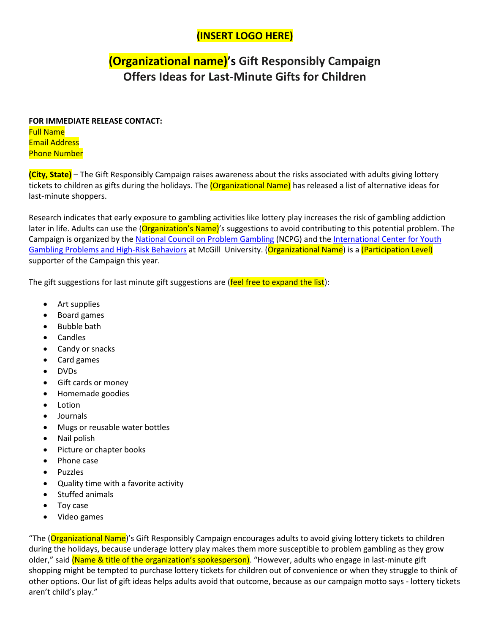### **(INSERT LOGO HERE)**

## **(Organizational name)'s Gift Responsibly Campaign Offers Ideas for Last-Minute Gifts for Children**

#### **FOR IMMEDIATE RELEASE CONTACT:**  Full Name Email Address Phone Number

**(City, State)** – The Gift Responsibly Campaign raises awareness about the risks associated with adults giving lottery tickets to children as gifts during the holidays. The *(Organizational Name)* has released a list of alternative ideas for last-minute shoppers.

Research indicates that early exposure to gambling activities like lottery play increases the risk of gambling addiction later in life. Adults can use the (Organization's Name)'s suggestions to avoid contributing to this potential problem. The Campaign is organized by the [National Council on Problem Gambling](https://www.ncpgambling.org/) (NCPG) and th[e International Center for Youth](https://www.mcgill.ca/ihdw/projects/gambling#:~:text=For%20over%2020%20years%2C%20the,related%20to%20youth%20gambling%20issues.)  [Gambling Problems and High-Risk Behaviors](https://www.mcgill.ca/ihdw/projects/gambling#:~:text=For%20over%2020%20years%2C%20the,related%20to%20youth%20gambling%20issues.) at McGill University. (Organizational Name) is a (Participation Level) supporter of the Campaign this year.

The gift suggestions for last minute gift suggestions are (feel free to expand the list):

- Art supplies
- Board games
- Bubble bath
- **Candles**
- Candy or snacks
- Card games
- DVDs
- Gift cards or money
- Homemade goodies
- **Lotion**
- Journals
- Mugs or reusable water bottles
- Nail polish
- Picture or chapter books
- Phone case
- Puzzles
- Quality time with a favorite activity
- Stuffed animals
- Toy case
- Video games

"The (Organizational Name)'s Gift Responsibly Campaign encourages adults to avoid giving lottery tickets to children during the holidays, because underage lottery play makes them more susceptible to problem gambling as they grow older," said (Name & title of the organization's spokesperson). "However, adults who engage in last-minute gift shopping might be tempted to purchase lottery tickets for children out of convenience or when they struggle to think of other options. Our list of gift ideas helps adults avoid that outcome, because as our campaign motto says - lottery tickets aren't child's play."